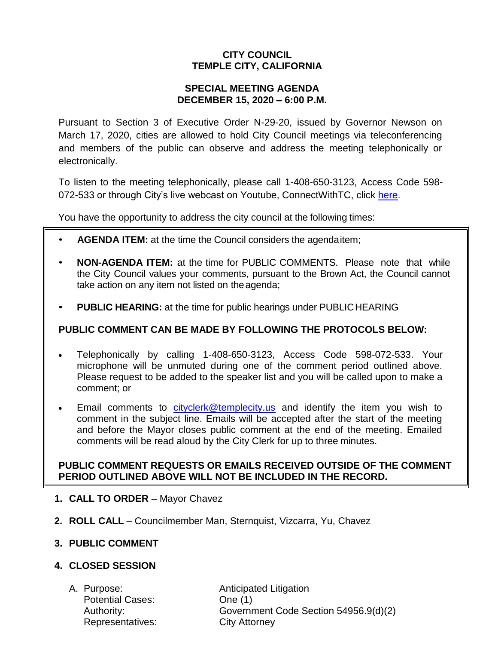# **CITY COUNCIL TEMPLE CITY, CALIFORNIA**

#### **SPECIAL MEETING AGENDA DECEMBER 15, 2020 – 6:00 P.M.**

Pursuant to Section 3 of Executive Order N-29-20, issued by Governor Newson on March 17, 2020, cities are allowed to hold City Council meetings via teleconferencing and members of the public can observe and address the meeting telephonically or electronically.

To listen to the meeting telephonically, please call 1-408-650-3123, Access Code 598 072-533 or through City's live webcast on Youtube, ConnectWithTC, click [here.](https://www.ci.temple-city.ca.us/516/Meeting-Webcast)

You have the opportunity to address the city council at the following times:

- **AGENDA ITEM:** at the time the Council considers the agendaitem;
- **NON-AGENDA ITEM:** at the time for PUBLIC COMMENTS. Please note that while the City Council values your comments, pursuant to the Brown Act, the Council cannot take action on any item not listed on the agenda;
- **PUBLIC HEARING:** at the time for public hearings under PUBLICHEARING

## **PUBLIC COMMENT CAN BE MADE BY FOLLOWING THE PROTOCOLS BELOW:**

- Telephonically by calling 1-408-650-3123, Access Code 598-072-533. Your microphone will be unmuted during one of the comment period outlined above. Please request to be added to the speaker list and you will be called upon to make a comment; or
- Email comments to [cityclerk@templecity.us](mailto:cityclerk@templecity.us) and identify the item you wish to comment in the subject line. Emails will be accepted after the start of the meeting and before the Mayor closes public comment at the end of the meeting. Emailed comments will be read aloud by the City Clerk for up to three minutes.

## **PUBLIC COMMENT REQUESTS OR EMAILS RECEIVED OUTSIDE OF THE COMMENT PERIOD OUTLINED ABOVE WILL NOT BE INCLUDED IN THE RECORD.**

- **1. CALL TO ORDER**  Mayor Chavez
- **2. ROLL CALL**  Councilmember Man, Sternquist, Vizcarra, Yu, Chavez

## **3. PUBLIC COMMENT**

## **4. CLOSED SESSION**

Potential Cases: One (1) Representatives: City Attorney

A. Purpose: **Anticipated Litigation** Authority: Government Code Section 54956.9(d)(2)